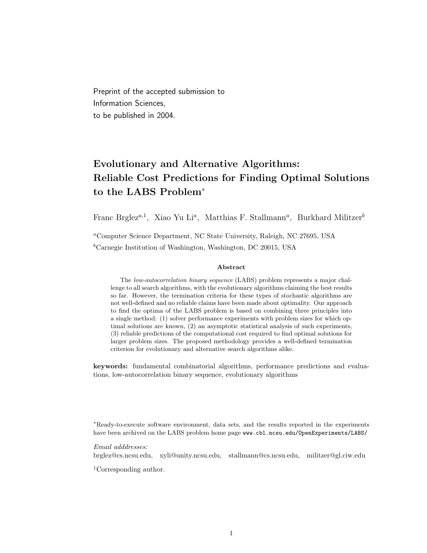Preprint of the accepted submission to Information Sciences, to be published in 2004.

# Evolutionary and Alternative Algorithms: Reliable Cost Predictions for Finding Optimal Solutions to the LABS Problem<sup>∗</sup>

Franc Brglez<sup>a,1</sup>, Xiao Yu Li<sup>a</sup>, Matthias F. Stallmann<sup>a</sup>, Burkhard Militzer<sup>b</sup>

<sup>a</sup>Computer Science Department, NC State University, Raleigh, NC 27695, USA  ${}^b$ Carnegie Institution of Washington, Washington, DC 20015, USA

### Abstract

The low-autocorrelation binary sequence (LABS) problem represents a major challenge to all search algorithms, with the evolutionary algorithms claiming the best results so far. However, the termination criteria for these types of stochastic algorithms are not well-defined and no reliable claims have been made about optimality. Our approach to find the optima of the LABS problem is based on combining three principles into a single method: (1) solver performance experiments with problem sizes for which optimal solutions are known, (2) an asymptotic statistical analysis of such experiments, (3) reliable predictions of the computational cost required to find optimal solutions for larger problem sizes. The proposed methodology provides a well-defined termination criterion for evolutionary and alternative search algorithms alike.

keywords: fundamental combinatorial algorithms, performance predictions and evaluations, low-autocorrelation binary sequence, evolutionary algorithms

<sup>∗</sup>Ready-to-execute software environment, data sets, and the results reported in the experiments have been archived on the LABS problem home page www.cbl.ncsu.edu/OpenExperiments/LABS/

### Email adddresses:

brglez@cs.ncsu.edu, xyli@unity.ncsu.edu, stallmann@cs.ncsu.edu, militzer@gl.ciw.edu

<sup>1</sup>Corresponding author.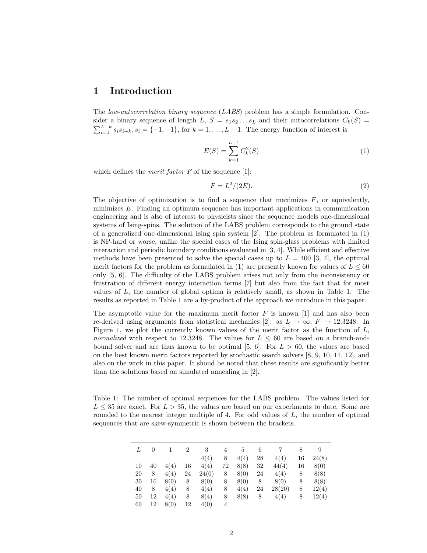### 1 Introduction

The low-autocorrelation binary sequence (LABS) problem has a simple formulation. Consider a binary sequence of length L,  $S = s_1 s_2 ... s_L$  and their autocorrelations  $C_k(S)$  $\sum_{i=1}^{L-k} s_i s_{i+k}, s_i = \{+1, -1\}$ , for  $k = 1, \ldots, L-1$ . The energy function of interest is

$$
E(S) = \sum_{k=1}^{L-1} C_k^2(S)
$$
 (1)

which defines the *merit factor*  $F$  of the sequence [1]:

$$
F = L^2/(2E). \tag{2}
$$

The objective of optimization is to find a sequence that maximizes  $F$ , or equivalently, minimizes E. Finding an optimum sequence has important applications in communication engineering and is also of interest to physicists since the sequence models one-dimensional systems of Ising-spins. The solution of the LABS problem corresponds to the ground state of a generalized one-dimensional Ising spin system [2]. The problem as formulated in (1) is NP-hard or worse, unlike the special cases of the Ising spin-glass problems with limited interaction and periodic boundary conditions evaluated in [3, 4]. While efficient and effective methods have been presented to solve the special cases up to  $L = 400$  [3, 4], the optimal merit factors for the problem as formulated in (1) are presently known for values of  $L \leq 60$ only [5, 6]. The difficulty of the LABS problem arises not only from the inconsistency or frustration of different energy interaction terms [7] but also from the fact that for most values of  $L$ , the number of global optima is relatively small, as shown in Table 1. The results as reported in Table 1 are a by-product of the approach we introduce in this paper.

The asymptotic value for the maximum merit factor  $F$  is known [1] and has also been re-derived using arguments from statistical mechanics [2]: as  $L \to \infty$ ,  $F \to 12.3248$ . In Figure 1, we plot the currently known values of the merit factor as the function of  $L$ , normalized with respect to 12.3248. The values for  $L \leq 60$  are based on a branch-andbound solver and are thus known to be optimal [5, 6]. For  $L > 60$ , the values are based on the best known merit factors reported by stochastic search solvers [8, 9, 10, 11, 12], and also on the work in this paper. It shoud be noted that these results are significantly better than the solutions based on simulated annealing in [2].

Table 1: The number of optimal sequences for the LABS problem. The values listed for  $L \leq 35$  are exact. For  $L > 35$ , the values are based on our experiments to date. Some are rounded to the nearest integer multiple of 4. For odd values of  $L$ , the number of optimal sequences that are skew-symmetric is shown between the brackets.

|    | 0  |      | 2  | 3     | 4  | 5    | 6  |        | 8  | 9     |
|----|----|------|----|-------|----|------|----|--------|----|-------|
|    |    |      |    | 4(4)  | 8  | 4(4) | 28 | 4(4)   | 16 | 24(8) |
| 10 | 40 | 4(4) | 16 | 4(4)  | 72 | 8(8) | 32 | 44(4)  | 16 | 8(0)  |
| 20 | 8  | 4(4) | 24 | 24(0) | 8  | 8(0) | 24 | 4(4)   | 8  | 8(8)  |
| 30 | 16 | 8(0) | 8  | 8(0)  | 8  | 8(0) | 8  | 8(0)   | 8  | 8(8)  |
| 40 | 8  | 4(4) | 8  | 4(4)  | 8  | 4(4) | 24 | 28(20) | 8  | 12(4) |
| 50 | 12 | 4(4) | 8  | 8(4)  | 8  | 8(8) | 8  | 4(4)   | 8  | 12(4) |
| 60 | 12 | 8(0) | 12 | 4(0)  | 4  |      |    |        |    |       |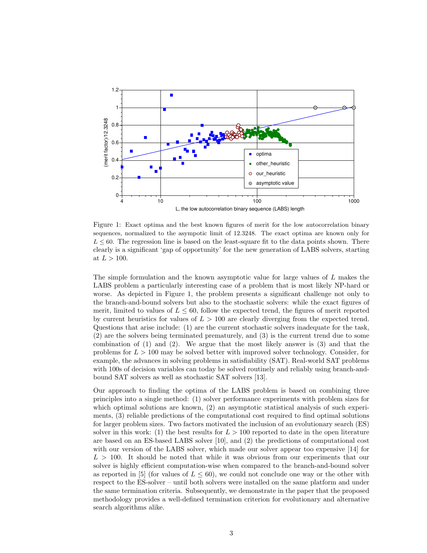

Figure 1: Exact optima and the best known figures of merit for the low autocorrelation binary sequences, normalized to the asympotic limit of 12.3248. The exact optima are known only for  $L < 60$ . The regression line is based on the least-square fit to the data points shown. There clearly is a significant 'gap of opportunity' for the new generation of LABS solvers, starting at  $L > 100$ .

The simple formulation and the known asymptotic value for large values of L makes the LABS problem a particularly interesting case of a problem that is most likely NP-hard or worse. As depicted in Figure 1, the problem presents a significant challenge not only to the branch-and-bound solvers but also to the stochastic solvers: while the exact figures of merit, limited to values of  $L \leq 60$ , follow the expected trend, the figures of merit reported by current heuristics for values of  $L > 100$  are clearly diverging from the expected trend. Questions that arise include: (1) are the current stochastic solvers inadequate for the task, (2) are the solvers being terminated prematurely, and (3) is the current trend due to some combination of (1) and (2). We argue that the most likely answer is (3) and that the problems for  $L > 100$  may be solved better with improved solver technology. Consider, for example, the advances in solving problems in satisfiability (SAT). Real-world SAT problems with 100s of decision variables can today be solved routinely and reliably using branch-andbound SAT solvers as well as stochastic SAT solvers [13].

Our approach to finding the optima of the LABS problem is based on combining three principles into a single method: (1) solver performance experiments with problem sizes for which optimal solutions are known, (2) an asymptotic statistical analysis of such experiments, (3) reliable predictions of the computational cost required to find optimal solutions for larger problem sizes. Two factors motivated the inclusion of an evolutionary search (ES) solver in this work: (1) the best results for  $L > 100$  reported to date in the open literature are based on an ES-based LABS solver [10], and (2) the predictions of computational cost with our version of the LABS solver, which made our solver appear too expensive [14] for  $L > 100$ . It should be noted that while it was obvious from our experiments that our solver is highly efficient computation-wise when compared to the branch-and-bound solver as reported in [5] (for values of  $L \leq 60$ ), we could not conclude one way or the other with respect to the ES-solver – until both solvers were installed on the same platform and under the same termination criteria. Subsequently, we demonstrate in the paper that the proposed methodology provides a well-defined termination criterion for evolutionary and alternative search algorithms alike.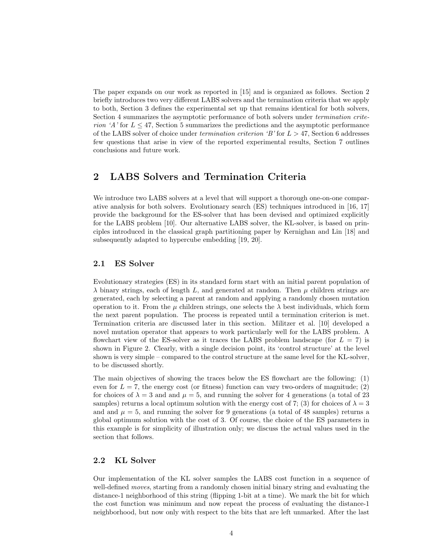The paper expands on our work as reported in [15] and is organized as follows. Section 2 briefly introduces two very different LABS solvers and the termination criteria that we apply to both, Section 3 defines the experimental set up that remains identical for both solvers, Section 4 summarizes the asymptotic performance of both solvers under termination criterion 'A' for  $L \leq 47$ , Section 5 summarizes the predictions and the asymptotic performance of the LABS solver of choice under termination criterion 'B' for  $L > 47$ , Section 6 addresses few questions that arise in view of the reported experimental results, Section 7 outlines conclusions and future work.

### 2 LABS Solvers and Termination Criteria

We introduce two LABS solvers at a level that will support a thorough one-on-one comparative analysis for both solvers. Evolutionary search (ES) techniques introduced in [16, 17] provide the background for the ES-solver that has been devised and optimized explicitly for the LABS problem [10]. Our alternative LABS solver, the KL-solver, is based on principles introduced in the classical graph partitioning paper by Kernighan and Lin [18] and subsequently adapted to hypercube embedding [19, 20].

### 2.1 ES Solver

Evolutionary strategies (ES) in its standard form start with an initial parent population of  $\lambda$  binary strings, each of length L, and generated at random. Then  $\mu$  children strings are generated, each by selecting a parent at random and applying a randomly chosen mutation operation to it. From the  $\mu$  children strings, one selects the  $\lambda$  best individuals, which form the next parent population. The process is repeated until a termination criterion is met. Termination criteria are discussed later in this section. Militzer et al. [10] developed a novel mutation operator that appears to work particularly well for the LABS problem. A flowchart view of the ES-solver as it traces the LABS problem landscape (for  $L = 7$ ) is shown in Figure 2. Clearly, with a single decision point, its 'control structure' at the level shown is very simple – compared to the control structure at the same level for the KL-solver, to be discussed shortly.

The main objectives of showing the traces below the ES flowchart are the following: (1) even for  $L = 7$ , the energy cost (or fitness) function can vary two-orders of magnitude; (2) for choices of  $\lambda = 3$  and and  $\mu = 5$ , and running the solver for 4 generations (a total of 23 samples) returns a local optimum solution with the energy cost of 7; (3) for choices of  $\lambda = 3$ and and  $\mu = 5$ , and running the solver for 9 generations (a total of 48 samples) returns a global optimum solution with the cost of 3. Of course, the choice of the ES parameters in this example is for simplicity of illustration only; we discuss the actual values used in the section that follows.

### 2.2 KL Solver

Our implementation of the KL solver samples the LABS cost function in a sequence of well-defined *moves*, starting from a randomly chosen initial binary string and evaluating the distance-1 neighborhood of this string (flipping 1-bit at a time). We mark the bit for which the cost function was minimum and now repeat the process of evaluating the distance-1 neighborhood, but now only with respect to the bits that are left unmarked. After the last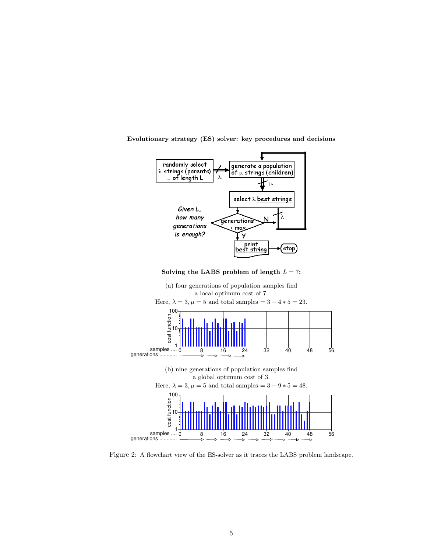

Evolutionary strategy (ES) solver: key procedures and decisions

Solving the LABS problem of length  $L = 7$ :



Figure 2: A flowchart view of the ES-solver as it traces the LABS problem landscape.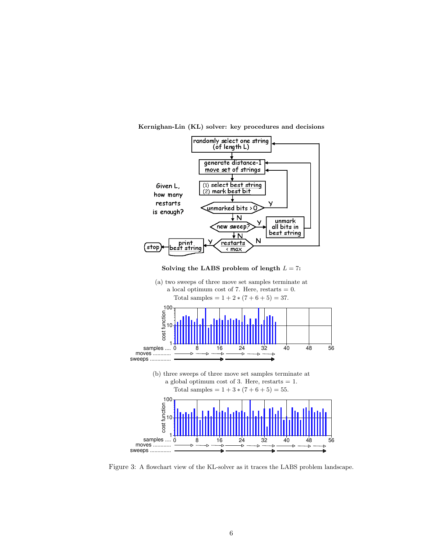

Kernighan-Lin (KL) solver: key procedures and decisions





Figure 3: A flowchart view of the KL-solver as it traces the LABS problem landscape.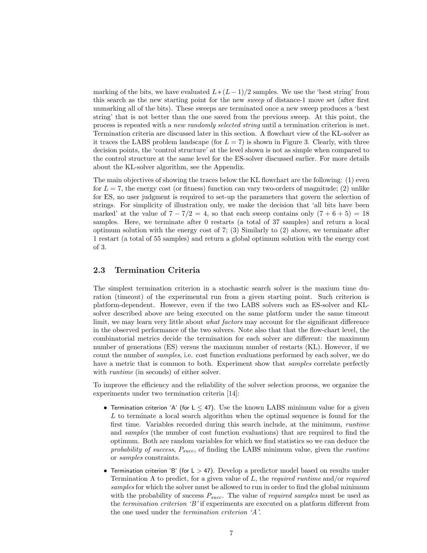marking of the bits, we have evaluated  $L * (L-1)/2$  samples. We use the 'best string' from this search as the new starting point for the new sweep of distance-1 move set (after first unmarking all of the bits). These sweeps are terminated once a new sweep produces a 'best string' that is not better than the one saved from the previous sweep. At this point, the process is repeated with a new randomly selected string until a termination criterion is met. Termination criteria are discussed later in this section. A flowchart view of the KL-solver as it traces the LABS problem landscape (for  $L = 7$ ) is shown in Figure 3. Clearly, with three decision points, the 'control structure' at the level shown is not as simple when compared to the control structure at the same level for the ES-solver discussed earlier. For more details about the KL-solver algorithm, see the Appendix.

The main objectives of showing the traces below the KL flowchart are the following: (1) even for  $L = 7$ , the energy cost (or fitness) function can vary two-orders of magnitude; (2) unlike for ES, no user judgment is required to set-up the parameters that govern the selection of strings. For simplicity of illustration only, we make the decision that 'all bits have been marked' at the value of  $7 - 7/2 = 4$ , so that each sweep contains only  $(7 + 6 + 5) = 18$ samples. Here, we terminate after 0 restarts (a total of 37 samples) and return a local optimum solution with the energy cost of  $7$ ; (3) Similarly to (2) above, we terminate after 1 restart (a total of 55 samples) and return a global optimum solution with the energy cost of 3.

### 2.3 Termination Criteria

The simplest termination criterion in a stochastic search solver is the maxium time duration (timeout) of the experimental run from a given starting point. Such criterion is platform-dependent. However, even if the two LABS solvers such as ES-solver and KLsolver described above are being executed on the same platform under the same timeout limit, we may learn very little about *what factors* may account for the significant difference in the observed performance of the two solvers. Note also that that the flow-chart level, the combinatorial metrics decide the termination for each solver are different: the maximum number of generations (ES) versus the maximum number of restarts (KL). However, if we count the number of samples, i.e. cost function evaluations performed by each solver, we do have a metric that is common to both. Experiment show that *samples* correlate perfectly with *runtime* (in seconds) of either solver.

To improve the efficiency and the reliability of the solver selection process, we organize the experiments under two termination criteria [14]:

- Termination criterion 'A' (for  $L < 47$ ). Use the known LABS minimum value for a given L to terminate a local search algorithm when the optimal sequence is found for the first time. Variables recorded during this search include, at the minimum, runtime and samples (the number of cost function evaluations) that are required to find the optimum. Both are random variables for which we find statistics so we can deduce the probability of success,  $P_{succ}$ , of finding the LABS minimum value, given the *runtime* or samples constraints.
- Termination criterion 'B' (for L > 47). Develop a predictor model based on results under Termination A to predict, for a given value of  $L$ , the required runtime and/or required samples for which the solver must be allowed to run in order to find the global minimum with the probability of success  $P_{succ}$ . The value of *required samples* must be used as the *termination criterion* 'B' if experiments are executed on a platform different from the one used under the termination criterion 'A'.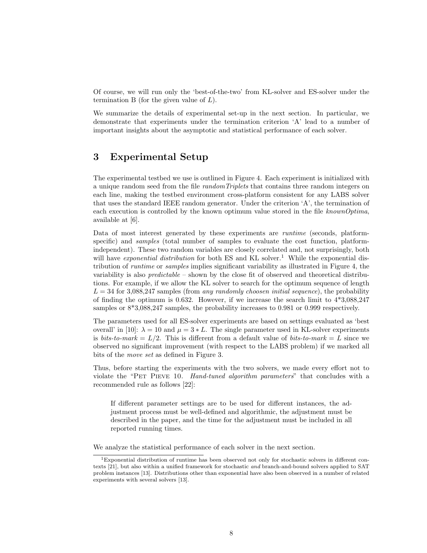Of course, we will run only the 'best-of-the-two' from KL-solver and ES-solver under the termination B (for the given value of  $L$ ).

We summarize the details of experimental set-up in the next section. In particular, we demonstrate that experiments under the termination criterion 'A' lead to a number of important insights about the asymptotic and statistical performance of each solver.

## 3 Experimental Setup

The experimental testbed we use is outlined in Figure 4. Each experiment is initialized with a unique random seed from the file randomTriplets that contains three random integers on each line, making the testbed environment cross-platform consistent for any LABS solver that uses the standard IEEE random generator. Under the criterion 'A', the termination of each execution is controlled by the known optimum value stored in the file known Optima, available at [6].

Data of most interest generated by these experiments are runtime (seconds, platformspecific) and *samples* (total number of samples to evaluate the cost function, platformindependent). These two random variables are closely correlated and, not surprisingly, both will have *exponential distribution* for both ES and KL solver.<sup>1</sup> While the exponential distribution of runtime or samples implies significant variability as illustrated in Figure 4, the variability is also  $predictable -$  shown by the close fit of observed and theoretical distributions. For example, if we allow the KL solver to search for the optimum sequence of length  $L = 34$  for 3,088,247 samples (from any randomly choosen initial sequence), the probability of finding the optimum is 0.632. However, if we increase the search limit to 4\*3,088,247 samples or  $8*3,088,247$  samples, the probability increases to 0.981 or 0.999 respectively.

The parameters used for all ES-solver experiments are based on settings evaluated as 'best overall' in [10]:  $\lambda = 10$  and  $\mu = 3 * L$ . The single parameter used in KL-solver experiments is bits-to-mark =  $L/2$ . This is different from a default value of bits-to-mark = L since we observed no significant improvement (with respect to the LABS problem) if we marked all bits of the move set as defined in Figure 3.

Thus, before starting the experiments with the two solvers, we made every effort not to violate the "PET PIEVE 10. Hand-tuned algorithm parameters" that concludes with a recommended rule as follows [22]:

If different parameter settings are to be used for different instances, the adjustment process must be well-defined and algorithmic, the adjustment must be described in the paper, and the time for the adjustment must be included in all reported running times.

We analyze the statistical performance of each solver in the next section.

<sup>1</sup>Exponential distribution of runtime has been observed not only for stochastic solvers in different contexts [21], but also within a unified framework for stochastic and branch-and-bound solvers applied to SAT problem instances [13]. Distributions other than exponential have also been observed in a number of related experiments with several solvers [13].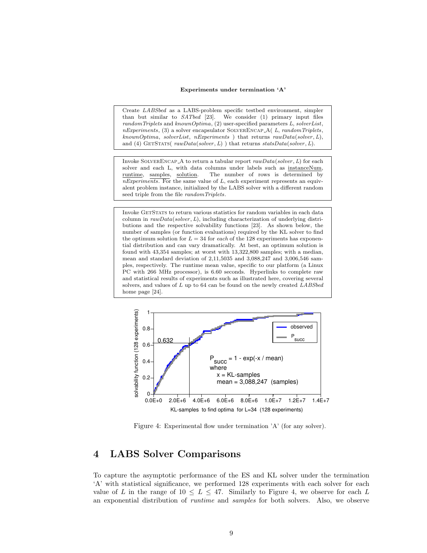#### Experiments under termination 'A'

Create LABSbed as a LABS-problem specific testbed environment, simpler than but similar to SATbed [23]. We consider (1) primary input files randomTriplets and knownOptima, (2) user-specified parameters L, solverList,  $nExperiments, (3)$  a solver encapsulator SOLVERENCAP\_A( $L, randomTriplets,$ knownOptima, solverList, nExperiments ) that returns rawData(solver, L), and (4) GETSTATS( $rawData(solver, L)$ ) that returns  $statsData(solver, L)$ .

Invoke SOLVERENCAP\_A to return a tabular report  $rawData(solver, L)$  for each solver and each L, with data columns under labels such as instanceNum, runtime, samples, solution. The number of rows is determined by  $nExperiments.$  For the same value of  $L$ , each experiment represents an equivalent problem instance, initialized by the LABS solver with a different random seed triple from the file randomTriplets.

Invoke GETSTATS to return various statistics for random variables in each data column in  $rawData(solver, L)$ , including characterization of underlying distributions and the respective solvability functions [23]. As shown below, the number of samples (or function evaluations) required by the KL solver to find the optimum solution for  $L = 34$  for each of the 128 experiments has exponential distribution and can vary dramatically. At best, an optimum solution is found with 43,354 samples; at worst with 13,322,800 samples; with a median, mean and standard deviation of 2,11,5035 and 3,088,247 and 3,006,546 samples, respectively. The runtime mean value, specific to our platform (a Linux PC with 266 MHz processor), is 6.60 seconds. Hyperlinks to complete raw and statistical results of experiments such as illustrated here, covering several solvers, and values of  $L$  up to 64 can be found on the newly created  $LABSbed$ home page [24].



Figure 4: Experimental flow under termination 'A' (for any solver).

## 4 LABS Solver Comparisons

To capture the asymptotic performance of the ES and KL solver under the termination 'A' with statistical significance, we performed 128 experiments with each solver for each value of L in the range of  $10 \leq L \leq 47$ . Similarly to Figure 4, we observe for each L an exponential distribution of runtime and samples for both solvers. Also, we observe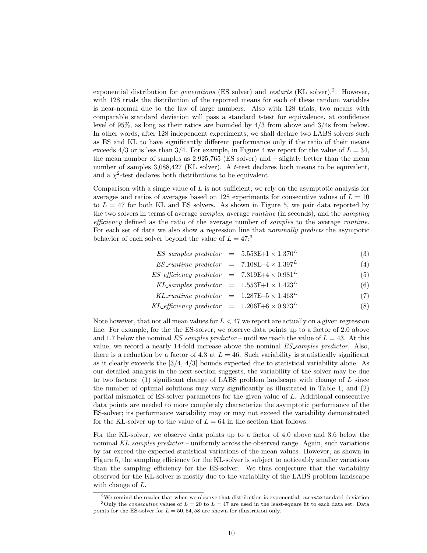exponential distribution for *generations* (ES solver) and *restarts* (KL solver).<sup>2</sup>. However, with 128 trials the distribution of the reported means for each of these random variables is near-normal due to the law of large numbers. Also with 128 trials, two means with comparable standard deviation will pass a standard t-test for equivalence, at confidence level of 95%, as long as their ratios are bounded by 4/3 from above and 3/4s from below. In other words, after 128 independent experiments, we shall declare two LABS solvers such as ES and KL to have significantly different performance only if the ratio of their means exceeds 4/3 or is less than 3/4. For example, in Figure 4 we report for the value of  $L = 34$ , the mean number of samples as  $2,925,765$  (ES solver) and  $-$  slightly better than the mean number of samples 3,088,427 (KL solver). A t-test declares both means to be equivalent, and a  $\chi^2$ -test declares both distributions to be equivalent.

Comparison with a single value of  $L$  is not sufficient; we rely on the asymptotic analysis for averages and ratios of averages based on 128 experiments for consecutive values of  $L = 10$ to  $L = 47$  for both KL and ES solvers. As shown in Figure 5, we pair data reported by the two solvers in terms of average samples, average runtime (in seconds), and the sampling efficiency defined as the ratio of the average number of samples to the average runtime. For each set of data we also show a regression line that *nominally predicts* the asympotic behavior of each solver beyond the value of  $L = 47$ :<sup>3</sup>

$$
ES\_samples\ predictor = 5.558E + 1 \times 1.370L
$$
 (3)

$$
ES\_runtime\,\, predictor = 7.108E-4 \times 1.397L
$$
\n
$$
ES\_efficiency\,\, predictor = 7.819E+4 \times 0.981L
$$
\n(4)

$$
KL\,sampling\,gradient\,y\,predictor\,=\,1.513E+4 \times 0.981\tag{3}
$$
\n
$$
KL\,samples\,predictor\,=\,1.553E+1 \times 1.423^L\tag{6}
$$

$$
KL\_sum \text{ predicate} \quad = \quad 1.999 \text{E}[1 \times 1.429] \tag{7}
$$
\n
$$
KL\_multime \text{ predicate} \quad = \quad 1.287 \text{E} - 5 \times 1.463^L \tag{7}
$$

$$
KL_{\text{efficiency predictor}} = 1.206E + 6 \times 0.973^L \tag{8}
$$

Note however, that not all mean values for  $L < 47$  we report are actually on a given regression line. For example, for the the ES-solver, we observe data points up to a factor of 2.0 above and 1.7 below the nominal  $ES\_samples\ predictor$  – until we reach the value of  $L = 43$ . At this value, we record a nearly 14-fold increase above the nominal ES samples predictor. Also, there is a reduction by a factor of 4.3 at  $L = 46$ . Such variability is statistically significant as it clearly exceeds the  $\left[\frac{3}{4}, \frac{4}{3}\right]$  bounds expected due to statistical variability alone. As our detailed analysis in the next section suggests, the variability of the solver may be due to two factors:  $(1)$  significant change of LABS problem landscape with change of L since the number of optimal solutions may vary significantly as illustrated in Table 1, and (2) partial mismatch of ES-solver parameters for the given value of L. Additional consecutive data points are needed to more completely characterize the asymptotic performance of the ES-solver; its performance variability may or may not exceed the variability demonstrated for the KL-solver up to the value of  $L = 64$  in the section that follows.

For the KL-solver, we observe data points up to a factor of 4.0 above and 3.6 below the nominal KL samples predictor – uniformly across the observed range. Again, such variations by far exceed the expected statistical variations of the mean values. However, as shown in Figure 5, the sampling efficiency for the KL-solver is subject to noticeably smaller variations than the sampling efficiency for the ES-solver. We thus conjecture that the variability observed for the KL-solver is mostly due to the variability of the LABS problem landscape with change of  $L$ .

<sup>&</sup>lt;sup>2</sup>We remind the reader that when we observe that distribution is exponential, mean≈standard deviation <sup>3</sup>Only the *consecutive* values of  $L = 20$  to  $L = 47$  are used in the least-square fit to each data set. Data points for the ES-solver for  $L = 50, 54, 58$  are shown for illustration only.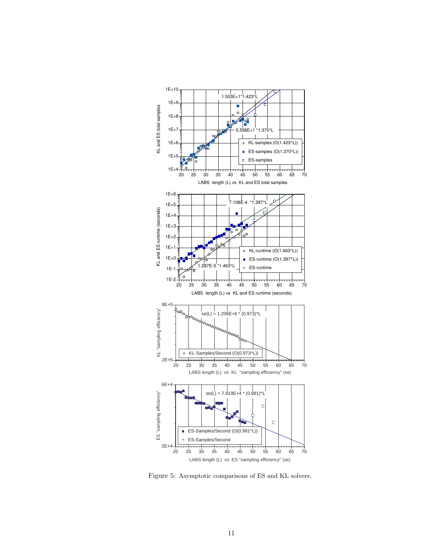

Figure 5: Asymptotic comparisons of ES and KL solvers.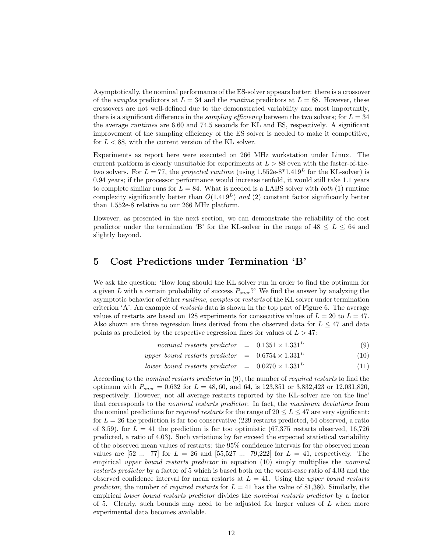Asymptotically, the nominal performance of the ES-solver appears better: there is a crossover of the *samples* predictors at  $L = 34$  and the *runtime* predictors at  $L = 88$ . However, these crossovers are not well-defined due to the demonstrated variability and most importantly, there is a significant difference in the *sampling efficiency* between the two solvers; for  $L = 34$ the average runtimes are 6.60 and 74.5 seconds for KL and ES, respectively. A significant improvement of the sampling efficiency of the ES solver is needed to make it competitive, for  $L < 88$ , with the current version of the KL solver.

Experiments as report here were executed on 266 MHz workstation under Linux. The current platform is clearly unsuitable for experiments at  $L > 88$  even with the faster-of-thetwo solvers. For  $L = 77$ , the projected runtime (using  $1.552e-8*1.419<sup>L</sup>$  for the KL-solver) is 0.94 years; if the processor performance would increase tenfold, it would still take 1.1 years to complete similar runs for  $L = 84$ . What is needed is a LABS solver with *both* (1) runtime complexity significantly better than  $O(1.419<sup>L</sup>)$  and (2) constant factor significantly better than 1.552e-8 relative to our 266 MHz platform.

However, as presented in the next section, we can demonstrate the reliability of the cost predictor under the termination 'B' for the KL-solver in the range of  $48 \leq L \leq 64$  and slightly beyond.

### 5 Cost Predictions under Termination 'B'

We ask the question: 'How long should the KL solver run in order to find the optimum for a given L with a certain probability of success  $P_{succ}$ ?' We find the answer by analyzing the asymptotic behavior of either *runtime, samples* or *restarts* of the KL solver under termination criterion 'A'. An example of restarts data is shown in the top part of Figure 6. The average values of restarts are based on 128 experiments for consecutive values of  $L = 20$  to  $L = 47$ . Also shown are three regression lines derived from the observed data for  $L \leq 47$  and data points as predicted by the respective regression lines for values of  $L > 47$ :

- nominal restarts predictor =  $0.1351 \times 1.331^L$ (9)
- upper bound restarts predictor  $= 0.6754 \times 1.331^{L}$ (10)
- lower bound restarts predictor  $= 0.0270 \times 1.331^L$ (11)

According to the nominal restarts predictor in (9), the number of required restarts to find the optimum with  $P_{succ} = 0.632$  for  $L = 48,60$ , and 64, is 123,851 or 3,832,423 or 12,031,820, respectively. However, not all average restarts reported by the KL-solver are 'on the line' that corresponds to the nominal restarts predictor. In fact, the maximum deviations from the nominal predictions for *required restarts* for the range of  $20 \leq L \leq 47$  are very significant: for  $L = 26$  the prediction is far too conservative (229 restarts predicted, 64 observed, a ratio of 3.59), for  $L = 41$  the prediction is far too optimistic (67,375 restarts observed, 16,726 predicted, a ratio of 4.03). Such variations by far exceed the expected statistical variability of the observed mean values of restarts: the 95% confidence intervals for the observed mean values are  $[52 \dots 77]$  for  $L = 26$  and  $[55,527 \dots 79,222]$  for  $L = 41$ , respectively. The empirical upper bound restarts predictor in equation (10) simply multiplies the nominal restarts predictor by a factor of 5 which is based both on the worst-case ratio of 4.03 and the observed confidence interval for mean restarts at  $L = 41$ . Using the upper bound restarts predictor, the number of required restarts for  $L = 41$  has the value of 81,380. Similarly, the empirical lower bound restarts predictor divides the nominal restarts predictor by a factor of 5. Clearly, such bounds may need to be adjusted for larger values of  $L$  when more experimental data becomes available.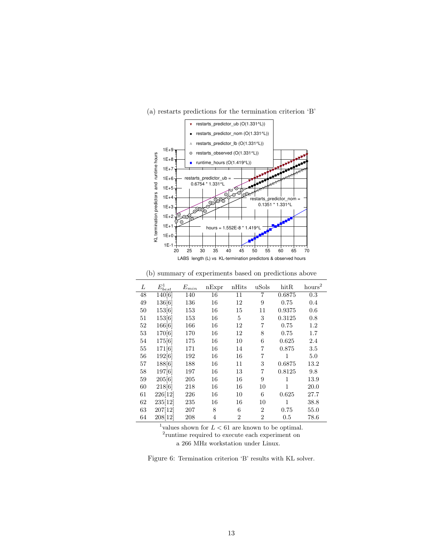

(a) restarts predictions for the termination criterion 'B'

(b) summary of experiments based on predictions above

| L  | $E_{b\underline{est}}^{1}$ | $E_{min}$ | nExpr | nHits          | uSols          | $h$ it $R$ | hours <sup>2</sup> |
|----|----------------------------|-----------|-------|----------------|----------------|------------|--------------------|
| 48 | 140[6]                     | 140       | 16    | 11             | $\overline{7}$ | 0.6875     | 0.3                |
| 49 | 136[6]                     | 136       | 16    | 12             | 9              | 0.75       | $0.4\,$            |
| 50 | 153[6]                     | 153       | 16    | 15             | 11             | 0.9375     | 0.6                |
| 51 | 153[6]                     | 153       | 16    | 5              | 3              | 0.3125     | 0.8                |
| 52 | 166[6]                     | 166       | 16    | 12             | 7              | 0.75       | $1.2\,$            |
| 53 | 170[6]                     | 170       | 16    | 12             | 8              | 0.75       | 1.7                |
| 54 | 175[6]                     | 175       | 16    | 10             | 6              | 0.625      | 2.4                |
| 55 | 171[6]                     | 171       | 16    | 14             | 7              | 0.875      | $3.5\,$            |
| 56 | 192[6]                     | 192       | 16    | 16             | 7              | 1          | 5.0                |
| 57 | 188[6]                     | 188       | 16    | 11             | 3              | 0.6875     | 13.2               |
| 58 | 197[6]                     | 197       | 16    | 13             | $\overline{7}$ | 0.8125     | 9.8                |
| 59 | 205[6]                     | 205       | 16    | 16             | 9              | 1          | 13.9               |
| 60 | 218[6]                     | 218       | 16    | 16             | 10             | 1          | 20.0               |
| 61 | 226[12]                    | 226       | 16    | 10             | 6              | 0.625      | 27.7               |
| 62 | 235[12]                    | 235       | 16    | 16             | 10             | 1          | 38.8               |
| 63 | 207[12]                    | 207       | 8     | 6              | $\overline{2}$ | 0.75       | 55.0               |
| 64 | 208[12]                    | 208       | 4     | $\overline{2}$ | $\overline{2}$ | 0.5        | 78.6               |

<sup>1</sup>values shown for  $L < 61$  are known to be optimal.

2 runtime required to execute each experiment on

a 266 MHz workstation under Linux.

Figure 6: Termination criterion 'B' results with KL solver.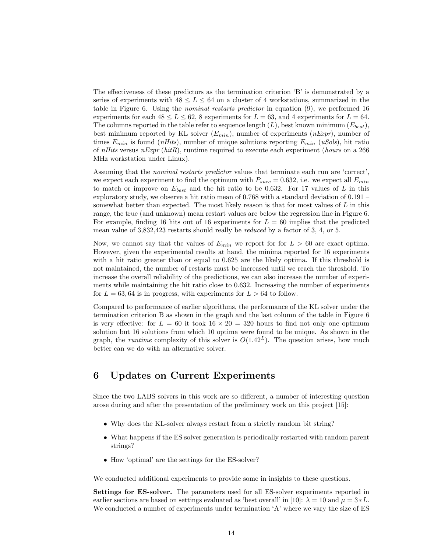The effectiveness of these predictors as the termination criterion 'B' is demonstrated by a series of experiments with  $48 \le L \le 64$  on a cluster of 4 workstations, summarized in the table in Figure 6. Using the nominal restarts predictor in equation (9), we performed 16 experiments for each  $48 \le L \le 62$ , 8 experiments for  $L = 63$ , and 4 experiments for  $L = 64$ . The columns reported in the table refer to sequence length  $(L)$ , best known minimum  $(E_{best})$ , best minimum reported by KL solver  $(E_{min})$ , number of experiments  $(nExpr)$ , number of times  $E_{min}$  is found (*nHits*), number of unique solutions reporting  $E_{min}$  (*uSols*), hit ratio of nHits versus nExpr (hitR), runtime required to execute each experiment (hours on a 266 MHz workstation under Linux).

Assuming that the *nominal restarts predictor* values that terminate each run are 'correct', we expect each experiment to find the optimum with  $P_{succ} = 0.632$ , i.e. we expect all  $E_{min}$ to match or improve on  $E_{best}$  and the hit ratio to be 0.632. For 17 values of L in this exploratory study, we observe a hit ratio mean of 0.768 with a standard deviation of 0.191 – somewhat better than expected. The most likely reason is that for most values of  $L$  in this range, the true (and unknown) mean restart values are below the regression line in Figure 6. For example, finding 16 hits out of 16 experiments for  $L = 60$  implies that the predicted mean value of 3,832,423 restarts should really be reduced by a factor of 3, 4, or 5.

Now, we cannot say that the values of  $E_{min}$  we report for  $L > 60$  are exact optima. However, given the experimental results at hand, the minima reported for 16 experiments with a hit ratio greater than or equal to  $0.625$  are the likely optima. If this threshold is not maintained, the number of restarts must be increased until we reach the threshold. To increase the overall reliability of the predictions, we can also increase the number of experiments while maintaining the hit ratio close to 0.632. Increasing the number of experiments for  $L = 63, 64$  is in progress, with experiments for  $L > 64$  to follow.

Compared to performance of earlier algorithms, the performance of the KL solver under the termination criterion B as shown in the graph and the last column of the table in Figure 6 is very effective: for  $L = 60$  it took  $16 \times 20 = 320$  hours to find not only one optimum solution but 16 solutions from which 10 optima were found to be unique. As shown in the graph, the *runtime* complexity of this solver is  $O(1.42<sup>L</sup>)$ . The question arises, how much better can we do with an alternative solver.

## 6 Updates on Current Experiments

Since the two LABS solvers in this work are so different, a number of interesting question arose during and after the presentation of the preliminary work on this project [15]:

- Why does the KL-solver always restart from a strictly random bit string?
- What happens if the ES solver generation is periodically restarted with random parent strings?
- How 'optimal' are the settings for the ES-solver?

We conducted additional experiments to provide some in insights to these questions.

Settings for ES-solver. The parameters used for all ES-solver experiments reported in earlier sections are based on settings evaluated as 'best overall' in [10]:  $\lambda = 10$  and  $\mu = 3*L$ . We conducted a number of experiments under termination 'A' where we vary the size of ES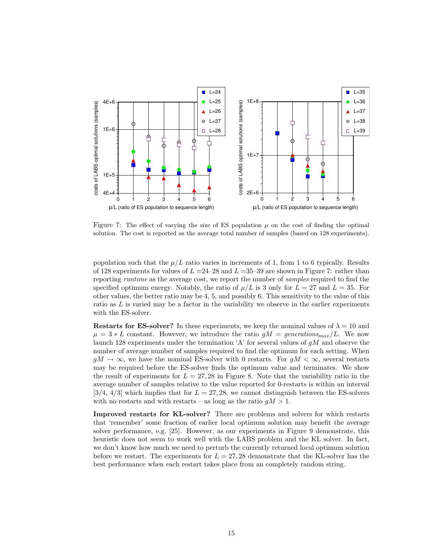

Figure 7: The effect of varying the size of ES population  $\mu$  on the cost of finding the optimal solution. The cost is reported as the average total number of samples (based on 128 experiments).

population such that the  $\mu/L$  ratio varies in increments of 1, from 1 to 6 typically. Results of 128 experiments for values of  $L = 24-28$  and  $L = 35-39$  are shown in Figure 7: rather than reporting runtime as the average cost, we report the number of samples required to find the specified optimum energy. Notably, the ratio of  $\mu/L$  is 3 only for  $L = 27$  and  $L = 35$ . For other values, the better ratio may be 4, 5, and possibly 6. This sensitivity to the value of this ratio as  $L$  is varied may be a factor in the variability we observe in the earlier experiments with the ES-solver.

**Restarts for ES-solver?** In these experiments, we keep the nominal values of  $\lambda = 10$  and  $\mu = 3 * L$  constant. However, we introduce the ratio  $gM = generation s_{max}/L$ . We now launch 128 experiments under the termination 'A' for several values of  $gM$  and observe the number of average number of samples required to find the optimum for each setting. When  $gM \to \infty$ , we have the nominal ES-solver with 0 restarts. For  $gM < \infty$ , several restarts may be required before the ES-solver finds the optimum value and terminates. We show the result of experiments for  $L = 27,28$  in Figure 8. Note that the variability ratio in the average number of samples relative to the value reported for 0-restarts is within an interval [3/4, 4/3] which implies that for  $L = 27,28$ , we cannot distinguish between the ES-solvers with no restarts and with restarts – as long as the ratio  $gM > 1$ .

Improved restarts for KL-solver? There are problems and solvers for which restarts that 'remember' some fraction of earlier local optimum solution may benefit the average solver performance, e.g. [25]. However, as our experiments in Figure 9 demonstrate, this heuristic does not seem to work well with the LABS problem and the KL solver. In fact, we don't know how much we need to perturb the currently returned local optimum solution before we restart. The experiments for  $L = 27,28$  demonstrate that the KL-solver has the best performance when each restart takes place from an completely random string.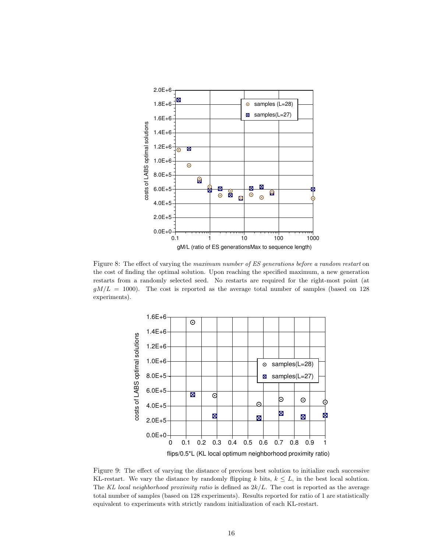

Figure 8: The effect of varying the maximum number of ES generations before a random restart on the cost of finding the optimal solution. Upon reaching the specified maximum, a new generation restarts from a randomly selected seed. No restarts are required for the right-most point (at  $gM/L = 1000$ ). The cost is reported as the average total number of samples (based on 128 experiments).



Figure 9: The effect of varying the distance of previous best solution to initialize each successive KL-restart. We vary the distance by randomly flipping k bits,  $k \leq L$ , in the best local solution. The KL local neighborhood proximity ratio is defined as  $2k/L$ . The cost is reported as the average total number of samples (based on 128 experiments). Results reported for ratio of 1 are statistically equivalent to experiments with strictly random initialization of each KL-restart.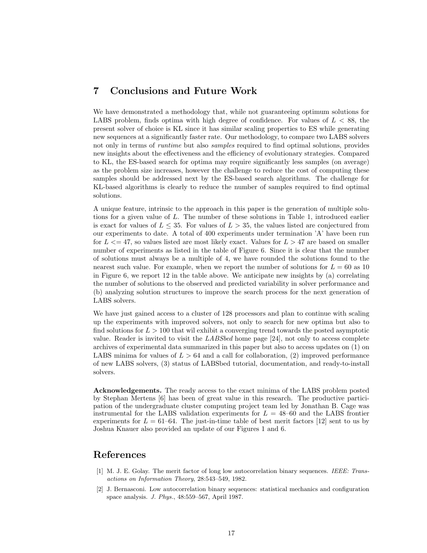## 7 Conclusions and Future Work

We have demonstrated a methodology that, while not guaranteeing optimum solutions for LABS problem, finds optima with high degree of confidence. For values of  $L < 88$ , the present solver of choice is KL since it has similar scaling properties to ES while generating new sequences at a significantly faster rate. Our methodology, to compare two LABS solvers not only in terms of *runtime* but also *samples* required to find optimal solutions, provides new insights about the effectiveness and the efficiency of evolutionary strategies. Compared to KL, the ES-based search for optima may require significantly less samples (on average) as the problem size increases, however the challenge to reduce the cost of computing these samples should be addressed next by the ES-based search algorithms. The challenge for KL-based algorithms is clearly to reduce the number of samples required to find optimal solutions.

A unique feature, intrinsic to the approach in this paper is the generation of multiple solutions for a given value of L. The number of these solutions in Table 1, introduced earlier is exact for values of  $L \leq 35$ . For values of  $L > 35$ , the values listed are conjectured from our experiments to date. A total of 400 experiments under termination 'A' have been run for  $L \le 47$ , so values listed are most likely exact. Values for  $L > 47$  are based on smaller number of experiments as listed in the table of Figure 6. Since it is clear that the number of solutions must always be a multiple of 4, we have rounded the solutions found to the nearest such value. For example, when we report the number of solutions for  $L = 60$  as 10 in Figure 6, we report 12 in the table above. We anticipate new insights by (a) correlating the number of solutions to the observed and predicted variability in solver performance and (b) analyzing solution structures to improve the search process for the next generation of LABS solvers.

We have just gained access to a cluster of 128 processors and plan to continue with scaling up the experiments with improved solvers, not only to search for new optima but also to find solutions for  $L > 100$  that wil exhibit a converging trend towards the posted asymptotic value. Reader is invited to visit the  $LABSbed$  home page [24], not only to access complete archives of experimental data summarized in this paper but also to access updates on (1) on LABS minima for values of  $L > 64$  and a call for collaboration, (2) improved performance of new LABS solvers, (3) status of LABSbed tutorial, documentation, and ready-to-install solvers.

Acknowledgements. The ready access to the exact minima of the LABS problem posted by Stephan Mertens [6] has been of great value in this research. The productive participation of the undergraduate cluster computing project team led by Jonathan B. Cage was instrumental for the LABS validation experiments for  $L = 48{\text -}60$  and the LABS frontier experiments for  $L = 61-64$ . The just-in-time table of best merit factors [12] sent to us by Joshua Knauer also provided an update of our Figures 1 and 6.

### References

- [1] M. J. E. Golay. The merit factor of long low autocorrelation binary sequences. IEEE: Transactions on Information Theory, 28:543–549, 1982.
- [2] J. Bernasconi. Low autocorrelation binary sequences: statistical mechanics and configuration space analysis. J. Phys., 48:559–567, April 1987.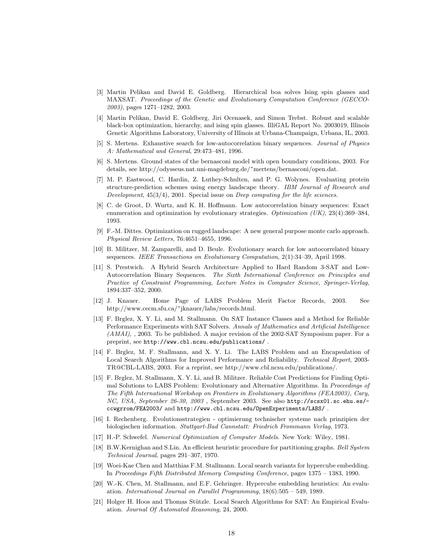- [3] Martin Pelikan and David E. Goldberg. Hierarchical boa solves Ising spin glasses and MAXSAT. Proceedings of the Genetic and Evolutionary Computation Conference (GECCO-2003), pages 1271–1282, 2003.
- [4] Martin Pelikan, David E. Goldberg, Jiri Ocenasek, and Simon Trebst. Robust and scalable black-box optimization, hierarchy, and ising spin glasses. IlliGAL Report No. 2003019, Illinois Genetic Algorithms Laboratory, University of Illinois at Urbana-Champaign, Urbana, IL, 2003.
- [5] S. Mertens. Exhaustive search for low-autocorrelation binary sequences. Journal of Physics A: Mathematical and General, 29:473–481, 1996.
- [6] S. Mertens. Ground states of the bernasconi model with open boundary conditions, 2003. For details, see http://odysseus.nat.uni-magdeburg.de/~mertens/bernasconi/open.dat.
- [7] M. P. Eastwood, C. Hardin, Z. Luthey-Schulten, and P. G. Wolynes. Evaluating protein structure-prediction schemes using energy landscape theory. IBM Journal of Research and Development,  $45(3/4)$ , 2001. Special issue on Deep computing for the life sciences.
- [8] C. de Groot, D. Wurtz, and K. H. Hoffmann. Low autocorrelation binary sequences: Exact enumeration and optimization by evolutionary strategies. Optimization  $(UK), 23(4):369-384$ , 1993.
- [9] F.-M. Dittes. Optimization on rugged landscape: A new general purpose monte carlo approach. Physical Review Letters, 76:4651–4655, 1996.
- [10] B. Militzer, M. Zamparelli, and D. Beule. Evolutionary search for low autocorrelated binary sequences. IEEE Transactions on Evolutionary Computation, 2(1):34–39, April 1998.
- [11] S. Prestwich. A Hybrid Search Architecture Applied to Hard Random 3-SAT and Low-Autocorrelation Binary Sequences. The Sixth International Conference on Principles and Practice of Constraint Programming, Lecture Notes in Computer Science, Springer-Verlag, 1894:337–352, 2000.
- [12] J. Knauer. Home Page of LABS Problem Merit Factor Records, 2003. See http://www.cecm.sfu.ca/~jknauer/labs/records.html.
- [13] F. Brglez, X. Y. Li, and M. Stallmann. On SAT Instance Classes and a Method for Reliable Performance Experiments with SAT Solvers. Annals of Mathematics and Artificial Intelligence (AMAI), , 2003. To be published. A major revision of the 2002-SAT Symposium paper. For a preprint, see http://www.cbl.ncsu.edu/publications/ .
- [14] F. Brglez, M. F. Stallmann, and X. Y. Li. The LABS Problem and an Encapsulation of Local Search Algorithms for Improved Performance and Reliability. Technical Report, 2003- TR@CBL-LABS, 2003. For a reprint, see http://www.cbl.ncsu.edu/publications/.
- [15] F. Brglez, M. Stallmann, X. Y. Li, and B. Militzer. Reliable Cost Predictions for Finding Optimal Solutions to LABS Problem: Evolutionary and Alternative Algorithms. In Proceedings of The Fifth International Workshop on Frontiers in Evolutionary Algorithms (FEA2003), Cary, NC, USA, September 26-30, 2003 , September 2003. See also http://scsx01.sc.ehu.es/ ccwgrrom/FEA2003/ and http://www.cbl.ncsu.edu/OpenExperiments/LABS/ .
- [16] I. Rechenberg. Evolutionsstrategien optimierung technischer systeme nach prinzipien der biologischen information. Stuttgart-Bad Cannstatt: Friedrich Frommann Verlag, 1973.
- [17] H.-P. Schwefel. Numerical Optimization of Computer Models. New York: Wiley, 1981.
- [18] B.W.Kernighan and S.Lin. An efficient heuristic procedure for partitioning graphs. Bell System Technical Journal, pages 291–307, 1970.
- [19] Woei-Kae Chen and Matthias F.M. Stallmann. Local search variants for hypercube embedding. In Proceedings Fifth Distributed Memory Computing Conference, pages 1375 – 1383, 1990.
- [20] W.-K. Chen, M. Stallmann, and E.F. Gehringer. Hypercube embedding heuristics: An evaluation. International Journal on Parallel Programming, 18(6):505 – 549, 1989.
- [21] Holger H. Hoos and Thomas Stützle. Local Search Algorithms for SAT: An Empirical Evaluation. Journal Of Automated Reasoning, 24, 2000.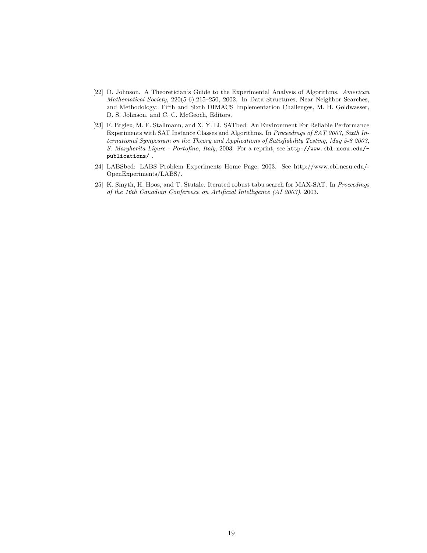- [22] D. Johnson. A Theoretician's Guide to the Experimental Analysis of Algorithms. American Mathematical Society, 220(5-6):215–250, 2002. In Data Structures, Near Neighbor Searches, and Methodology: Fifth and Sixth DIMACS Implementation Challenges, M. H. Goldwasser, D. S. Johnson, and C. C. McGeoch, Editors.
- [23] F. Brglez, M. F. Stallmann, and X. Y. Li. SATbed: An Environment For Reliable Performance Experiments with SAT Instance Classes and Algorithms. In Proceedings of SAT 2003, Sixth International Symposium on the Theory and Applications of Satisfiability Testing, May 5-8 2003, S. Margherita Ligure - Portofino, Italy, 2003. For a reprint, see http://www.cbl.ncsu.edu/ publications/ .
- [24] LABSbed: LABS Problem Experiments Home Page, 2003. See http://www.cbl.ncsu.edu/- OpenExperiments/LABS/.
- [25] K. Smyth, H. Hoos, and T. Stutzle. Iterated robust tabu search for MAX-SAT. In Proceedings of the 16th Canadian Conference on Artificial Intelligence (AI 2003), 2003.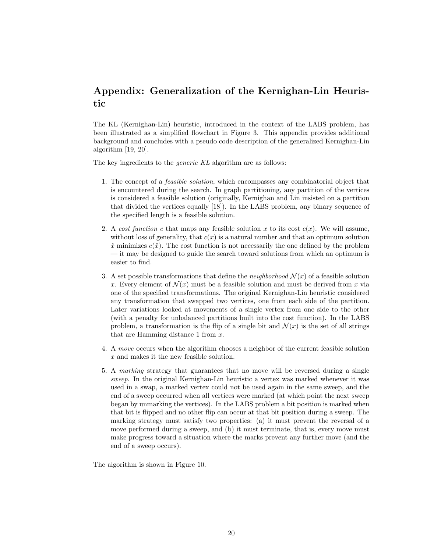## Appendix: Generalization of the Kernighan-Lin Heuristic

The KL (Kernighan-Lin) heuristic, introduced in the context of the LABS problem, has been illustrated as a simplified flowchart in Figure 3. This appendix provides additional background and concludes with a pseudo code description of the generalized Kernighan-Lin algorithm [19, 20].

The key ingredients to the *generic KL* algorithm are as follows:

- 1. The concept of a feasible solution, which encompasses any combinatorial object that is encountered during the search. In graph partitioning, any partition of the vertices is considered a feasible solution (originally, Kernighan and Lin insisted on a partition that divided the vertices equally [18]). In the LABS problem, any binary sequence of the specified length is a feasible solution.
- 2. A cost function c that maps any feasible solution x to its cost  $c(x)$ . We will assume, without loss of generality, that  $c(x)$  is a natural number and that an optimum solution  $\hat{x}$  minimizes  $c(\hat{x})$ . The cost function is not necessarily the one defined by the problem — it may be designed to guide the search toward solutions from which an optimum is easier to find.
- 3. A set possible transformations that define the *neighborhood*  $\mathcal{N}(x)$  of a feasible solution x. Every element of  $\mathcal{N}(x)$  must be a feasible solution and must be derived from x via one of the specified transformations. The original Kernighan-Lin heuristic considered any transformation that swapped two vertices, one from each side of the partition. Later variations looked at movements of a single vertex from one side to the other (with a penalty for unbalanced partitions built into the cost function). In the LABS problem, a transformation is the flip of a single bit and  $\mathcal{N}(x)$  is the set of all strings that are Hamming distance 1 from  $x$ .
- 4. A move occurs when the algorithm chooses a neighbor of the current feasible solution x and makes it the new feasible solution.
- 5. A marking strategy that guarantees that no move will be reversed during a single sweep. In the original Kernighan-Lin heuristic a vertex was marked whenever it was used in a swap, a marked vertex could not be used again in the same sweep, and the end of a sweep occurred when all vertices were marked (at which point the next sweep began by unmarking the vertices). In the LABS problem a bit position is marked when that bit is flipped and no other flip can occur at that bit position during a sweep. The marking strategy must satisfy two properties: (a) it must prevent the reversal of a move performed during a sweep, and (b) it must terminate, that is, every move must make progress toward a situation where the marks prevent any further move (and the end of a sweep occurs).

The algorithm is shown in Figure 10.